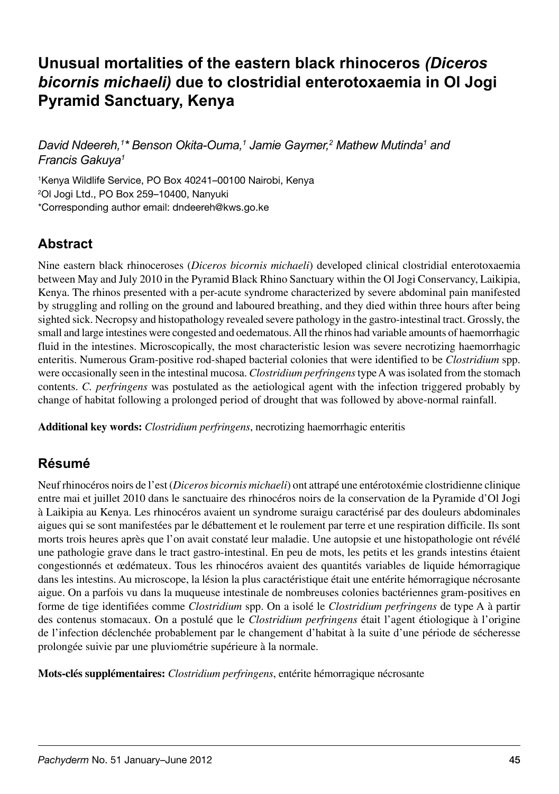# **Unusual mortalities of the eastern black rhinoceros** *(Diceros bicornis michaeli)* **due to clostridial enterotoxaemia in Ol Jogi Pyramid Sanctuary, Kenya**

David Ndeereh,<sup>1\*</sup> Benson Okita-Ouma,<sup>1</sup> Jamie Gaymer,<sup>2</sup> Mathew Mutinda<sup>1</sup> and *Francis Gakuya1*

1 Kenya Wildlife Service, PO Box 40241–00100 Nairobi, Kenya 2 Ol Jogi Ltd., PO Box 259–10400, Nanyuki \*Corresponding author email: dndeereh@kws.go.ke

# **Abstract**

Nine eastern black rhinoceroses (*Diceros bicornis michaeli*) developed clinical clostridial enterotoxaemia between May and July 2010 in the Pyramid Black Rhino Sanctuary within the Ol Jogi Conservancy, Laikipia, Kenya. The rhinos presented with a per-acute syndrome characterized by severe abdominal pain manifested by struggling and rolling on the ground and laboured breathing, and they died within three hours after being sighted sick. Necropsy and histopathology revealed severe pathology in the gastro-intestinal tract. Grossly, the small and large intestines were congested and oedematous. All the rhinos had variable amounts of haemorrhagic fluid in the intestines. Microscopically, the most characteristic lesion was severe necrotizing haemorrhagic enteritis. Numerous Gram-positive rod-shaped bacterial colonies that were identified to be *Clostridium* spp. were occasionally seen in the intestinal mucosa. *Clostridium perfringens* type A was isolated from the stomach contents. *C. perfringens* was postulated as the aetiological agent with the infection triggered probably by change of habitat following a prolonged period of drought that was followed by above-normal rainfall.

**Additional key words:** *Clostridium perfringens*, necrotizing haemorrhagic enteritis

## **Résumé**

Neuf rhinocéros noirs de l'est (*Diceros bicornis michaeli*) ont attrapé une entérotoxémie clostridienne clinique entre mai et juillet 2010 dans le sanctuaire des rhinocéros noirs de la conservation de la Pyramide d'Ol Jogi à Laikipia au Kenya. Les rhinocéros avaient un syndrome suraigu caractérisé par des douleurs abdominales aigues qui se sont manifestées par le débattement et le roulement par terre et une respiration difficile. Ils sont morts trois heures après que l'on avait constaté leur maladie. Une autopsie et une histopathologie ont révélé une pathologie grave dans le tract gastro-intestinal. En peu de mots, les petits et les grands intestins étaient congestionnés et œdémateux. Tous les rhinocéros avaient des quantités variables de liquide hémorragique dans les intestins. Au microscope, la lésion la plus caractéristique était une entérite hémorragique nécrosante aigue. On a parfois vu dans la muqueuse intestinale de nombreuses colonies bactériennes gram-positives en forme de tige identifiées comme *Clostridium* spp. On a isolé le *Clostridium perfringens* de type A à partir des contenus stomacaux. On a postulé que le *Clostridium perfringens* était l'agent étiologique à l'origine de l'infection déclenchée probablement par le changement d'habitat à la suite d'une période de sécheresse prolongée suivie par une pluviométrie supérieure à la normale.

**Mots-clés supplémentaires:** *Clostridium perfringens*, entérite hémorragique nécrosante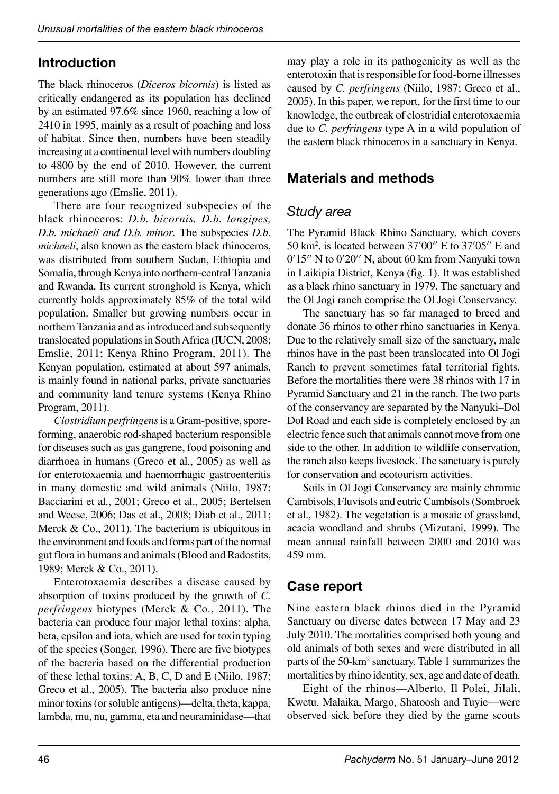### **Introduction**

The black rhinoceros (*Diceros bicornis*) is listed as critically endangered as its population has declined by an estimated 97.6% since 1960, reaching a low of 2410 in 1995, mainly as a result of poaching and loss of habitat. Since then, numbers have been steadily increasing at a continental level with numbers doubling to 4800 by the end of 2010. However, the current numbers are still more than 90% lower than three generations ago (Emslie, 2011).

There are four recognized subspecies of the black rhinoceros: *D.b. bicornis, D.b. longipes, D.b. michaeli and D.b. minor.* The subspecies *D.b. michaeli*, also known as the eastern black rhinoceros, was distributed from southern Sudan, Ethiopia and Somalia, through Kenya into northern-central Tanzania and Rwanda. Its current stronghold is Kenya, which currently holds approximately 85% of the total wild population. Smaller but growing numbers occur in northern Tanzania and as introduced and subsequently translocated populations in South Africa (IUCN, 2008; Emslie, 2011; Kenya Rhino Program, 2011). The Kenyan population, estimated at about 597 animals, is mainly found in national parks, private sanctuaries and community land tenure systems (Kenya Rhino Program, 2011).

*Clostridium perfringens* is a Gram-positive, sporeforming, anaerobic rod-shaped bacterium responsible for diseases such as gas gangrene, food poisoning and diarrhoea in humans (Greco et al., 2005) as well as for enterotoxaemia and haemorrhagic gastroenteritis in many domestic and wild animals (Niilo, 1987; Bacciarini et al., 2001; Greco et al., 2005; Bertelsen and Weese, 2006; Das et al., 2008; Diab et al., 2011; Merck & Co., 2011). The bacterium is ubiquitous in the environment and foods and forms part of the normal gut flora in humans and animals (Blood and Radostits, 1989; Merck & Co., 2011).

Enterotoxaemia describes a disease caused by absorption of toxins produced by the growth of *C. perfringens* biotypes (Merck & Co., 2011). The bacteria can produce four major lethal toxins: alpha, beta, epsilon and iota, which are used for toxin typing of the species (Songer, 1996). There are five biotypes of the bacteria based on the differential production of these lethal toxins: A, B, C, D and E (Niilo, 1987; Greco et al., 2005). The bacteria also produce nine minor toxins (or soluble antigens)—delta, theta, kappa, lambda, mu, nu, gamma, eta and neuraminidase—that may play a role in its pathogenicity as well as the enterotoxin that is responsible for food-borne illnesses caused by *C. perfringens* (Niilo, 1987; Greco et al., 2005). In this paper, we report, for the first time to our knowledge, the outbreak of clostridial enterotoxaemia due to *C. perfringens* type A in a wild population of the eastern black rhinoceros in a sanctuary in Kenya.

### **Materials and methods**

#### *Study area*

The Pyramid Black Rhino Sanctuary, which covers 50 km2 , is located between 37'00'' E to 37'05'' E and 0'15'' N to 0'20'' N, about 60 km from Nanyuki town in Laikipia District, Kenya (fig. 1). It was established as a black rhino sanctuary in 1979. The sanctuary and the Ol Jogi ranch comprise the Ol Jogi Conservancy.

The sanctuary has so far managed to breed and donate 36 rhinos to other rhino sanctuaries in Kenya. Due to the relatively small size of the sanctuary, male rhinos have in the past been translocated into Ol Jogi Ranch to prevent sometimes fatal territorial fights. Before the mortalities there were 38 rhinos with 17 in Pyramid Sanctuary and 21 in the ranch. The two parts of the conservancy are separated by the Nanyuki-Dol Dol Road and each side is completely enclosed by an electric fence such that animals cannot move from one side to the other. In addition to wildlife conservation, the ranch also keeps livestock. The sanctuary is purely for conservation and ecotourism activities.

Soils in Ol Jogi Conservancy are mainly chromic Cambisols, Fluvisols and eutric Cambisols (Sombroek et al., 1982). The vegetation is a mosaic of grassland, acacia woodland and shrubs (Mizutani, 1999). The mean annual rainfall between 2000 and 2010 was 459 mm.

## **Case report**

Nine eastern black rhinos died in the Pyramid Sanctuary on diverse dates between 17 May and 23 July 2010. The mortalities comprised both young and old animals of both sexes and were distributed in all parts of the 50-km<sup>2</sup> sanctuary. Table 1 summarizes the mortalities by rhino identity, sex, age and date of death.

Eight of the rhinos—Alberto, Il Polei, Jilali, Kwetu, Malaika, Margo, Shatoosh and Tuyie-were observed sick before they died by the game scouts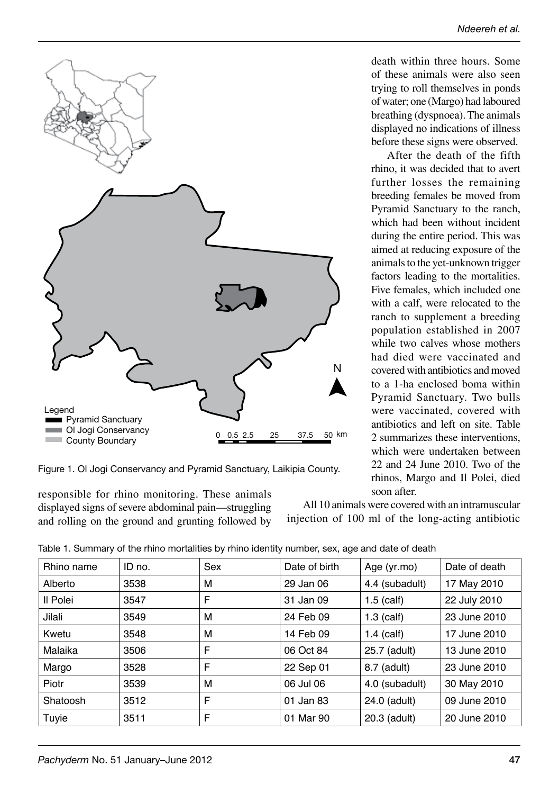death within three hours. Some of these animals were also seen trying to roll themselves in ponds of water; one (Margo) had laboured breathing (dyspnoea). The animals displayed no indications of illness before these signs were observed.

After the death of the fifth rhino, it was decided that to avert further losses the remaining breeding females be moved from Pyramid Sanctuary to the ranch, which had been without incident during the entire period. This was aimed at reducing exposure of the animals to the yet-unknown trigger factors leading to the mortalities. Five females, which included one with a calf, were relocated to the ranch to supplement a breeding population established in 2007 while two calves whose mothers had died were vaccinated and covered with antibiotics and moved to a 1-ha enclosed boma within Pyramid Sanctuary. Two bulls were vaccinated, covered with antibiotics and left on site. Table 2 summarizes these interventions, which were undertaken between 22 and 24 June 2010. Two of the rhinos, Margo and Il Polei, died soon after.

All 10 animals were covered with an intramuscular injection of 100 ml of the long-acting antibiotic

| Table 1. Summary of the rhino mortalities by rhino identity number, sex, age and date of death |  |  |  |  |  |
|------------------------------------------------------------------------------------------------|--|--|--|--|--|

| Rhino name | ID no. | Sex | Date of birth | Age (yr.mo)    | Date of death |  |
|------------|--------|-----|---------------|----------------|---------------|--|
| Alberto    | 3538   | м   | 29 Jan 06     | 4.4 (subadult) | 17 May 2010   |  |
| Il Polei   | 3547   | F   | 31 Jan 09     | $1.5$ (calf)   | 22 July 2010  |  |
| Jilali     | 3549   | м   | 24 Feb 09     | $1.3$ (calf)   | 23 June 2010  |  |
| Kwetu      | 3548   | м   | 14 Feb 09     | $1.4$ (calf)   | 17 June 2010  |  |
| Malaika    | 3506   | F   | 06 Oct 84     | 25.7 (adult)   | 13 June 2010  |  |
| Margo      | 3528   | F   | 22 Sep 01     | 8.7 (adult)    | 23 June 2010  |  |
| Piotr      | 3539   | м   | 06 Jul 06     | 4.0 (subadult) | 30 May 2010   |  |
| Shatoosh   | 3512   | F   | 01 Jan 83     | 24.0 (adult)   | 09 June 2010  |  |
| Tuyie      | 3511   | F   | 01 Mar 90     | 20.3 (adult)   | 20 June 2010  |  |



displayed signs of severe abdominal pain—struggling and rolling on the ground and grunting followed by

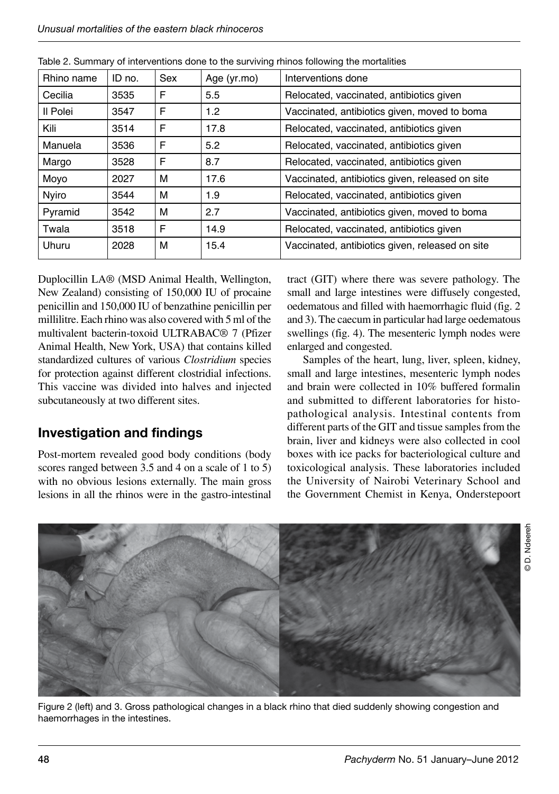| Rhino name | ID no. | Sex | Age (yr.mo) | Interventions done                              |
|------------|--------|-----|-------------|-------------------------------------------------|
| Cecilia    | 3535   | F   | 5.5         | Relocated, vaccinated, antibiotics given        |
| Il Polei   | 3547   | F   | 1.2         | Vaccinated, antibiotics given, moved to boma    |
| Kili       | 3514   | F   | 17.8        | Relocated, vaccinated, antibiotics given        |
| Manuela    | 3536   | F   | 5.2         | Relocated, vaccinated, antibiotics given        |
| Margo      | 3528   | F   | 8.7         | Relocated, vaccinated, antibiotics given        |
| Moyo       | 2027   | м   | 17.6        | Vaccinated, antibiotics given, released on site |
| Nyiro      | 3544   | м   | 1.9         | Relocated, vaccinated, antibiotics given        |
| Pyramid    | 3542   | м   | 2.7         | Vaccinated, antibiotics given, moved to boma    |
| Twala      | 3518   | F   | 14.9        | Relocated, vaccinated, antibiotics given        |
| Uhuru      | 2028   | м   | 15.4        | Vaccinated, antibiotics given, released on site |

|  | Table 2. Summary of interventions done to the surviving rhinos following the mortalities |  |  |  |
|--|------------------------------------------------------------------------------------------|--|--|--|
|  |                                                                                          |  |  |  |

Duplocillin LA® (MSD Animal Health, Wellington, New Zealand) consisting of 150,000 IU of procaine penicillin and 150,000 IU of benzathine penicillin per millilitre. Each rhino was also covered with 5 ml of the multivalent bacterin-toxoid ULTRABAC<sup>®</sup> 7 (Pfizer Animal Health, New York, USA) that contains killed standardized cultures of various *Clostridium* species for protection against different clostridial infections. This vaccine was divided into halves and injected subcutaneously at two different sites.

### **Investigation and findings**

Post-mortem revealed good body conditions (body scores ranged between 3.5 and 4 on a scale of 1 to 5) with no obvious lesions externally. The main gross lesions in all the rhinos were in the gastro-intestinal

tract (GIT) where there was severe pathology. The small and large intestines were diffusely congested, oedematous and filled with haemorrhagic fluid (fig. 2 and 3). The caecum in particular had large oedematous swellings (fig. 4). The mesenteric lymph nodes were enlarged and congested.

Samples of the heart, lung, liver, spleen, kidney, small and large intestines, mesenteric lymph nodes and brain were collected in 10% buffered formalin and submitted to different laboratories for histopathological analysis. Intestinal contents from different parts of the GIT and tissue samples from the brain, liver and kidneys were also collected in cool boxes with ice packs for bacteriological culture and toxicological analysis. These laboratories included the University of Nairobi Veterinary School and the Government Chemist in Kenya, Onderstepoort



Figure 2 (left) and 3. Gross pathological changes in a black rhino that died suddenly showing congestion and haemorrhages in the intestines.

© D. Ndeereh**D.** Ndeereh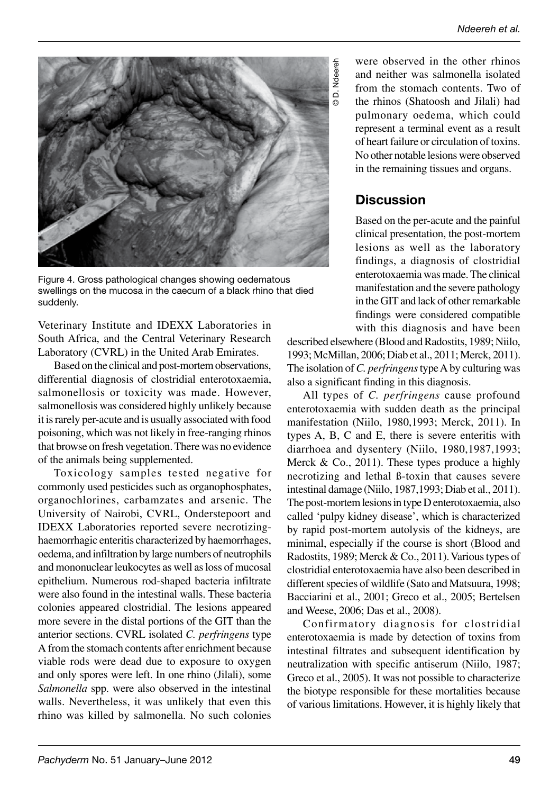

Figure 4. Gross pathological changes showing oedematous swellings on the mucosa in the caecum of a black rhino that died suddenly.

Veterinary Institute and IDEXX Laboratories in South Africa, and the Central Veterinary Research Laboratory (CVRL) in the United Arab Emirates.

Based on the clinical and post-mortem observations, differential diagnosis of clostridial enterotoxaemia, salmonellosis or toxicity was made. However, salmonellosis was considered highly unlikely because it is rarely per-acute and is usually associated with food poisoning, which was not likely in free-ranging rhinos that browse on fresh vegetation. There was no evidence of the animals being supplemented.

Toxicology samples tested negative for commonly used pesticides such as organophosphates, organochlorines, carbamzates and arsenic. The University of Nairobi, CVRL, Onderstepoort and IDEXX Laboratories reported severe necrotizinghaemorrhagic enteritis characterized by haemorrhages, oedema, and infiltration by large numbers of neutrophils and mononuclear leukocytes as well as loss of mucosal epithelium. Numerous rod-shaped bacteria infiltrate were also found in the intestinal walls. These bacteria colonies appeared clostridial. The lesions appeared more severe in the distal portions of the GIT than the anterior sections. CVRL isolated *C. perfringens* type A from the stomach contents after enrichment because viable rods were dead due to exposure to oxygen and only spores were left. In one rhino (Jilali), some *Salmonella* spp. were also observed in the intestinal walls. Nevertheless, it was unlikely that even this rhino was killed by salmonella. No such colonies

were observed in the other rhinos and neither was salmonella isolated from the stomach contents. Two of the rhinos (Shatoosh and Jilali) had pulmonary oedema, which could represent a terminal event as a result of heart failure or circulation of toxins. No other notable lesions were observed in the remaining tissues and organs.

### **Discussion**

Based on the per-acute and the painful clinical presentation, the post-mortem lesions as well as the laboratory findings, a diagnosis of clostridial enterotoxaemia was made. The clinical manifestation and the severe pathology in the GIT and lack of other remarkable findings were considered compatible with this diagnosis and have been

described elsewhere (Blood and Radostits, 1989; Niilo. 1993; McMillan, 2006; Diab et al., 2011; Merck, 2011). The isolation of *C. perfringens* type A by culturing was also a significant finding in this diagnosis.

All types of *C. perfringens* cause profound enterotoxaemia with sudden death as the principal manifestation (Niilo, 1980,1993; Merck, 2011). In types A, B, C and E, there is severe enteritis with diarrhoea and dysentery (Niilo, 1980,1987,1993; Merck & Co., 2011). These types produce a highly necrotizing and lethal ß-toxin that causes severe intestinal damage (Niilo, 1987, 1993; Diab et al., 2011). The post-mortem lesions in type D enterotoxaemia, also called 'pulpy kidney disease', which is characterized by rapid post-mortem autolysis of the kidneys, are minimal, especially if the course is short (Blood and Radostits, 1989; Merck & Co., 2011). Various types of clostridial enterotoxaemia have also been described in different species of wildlife (Sato and Matsuura, 1998; Bacciarini et al., 2001; Greco et al., 2005; Bertelsen and Weese, 2006; Das et al., 2008).

Confirmatory diagnosis for clostridial enterotoxaemia is made by detection of toxins from intestinal filtrates and subsequent identification by neutralization with specific antiserum (Niilo, 1987; Greco et al., 2005). It was not possible to characterize the biotype responsible for these mortalities because of various limitations. However, it is highly likely that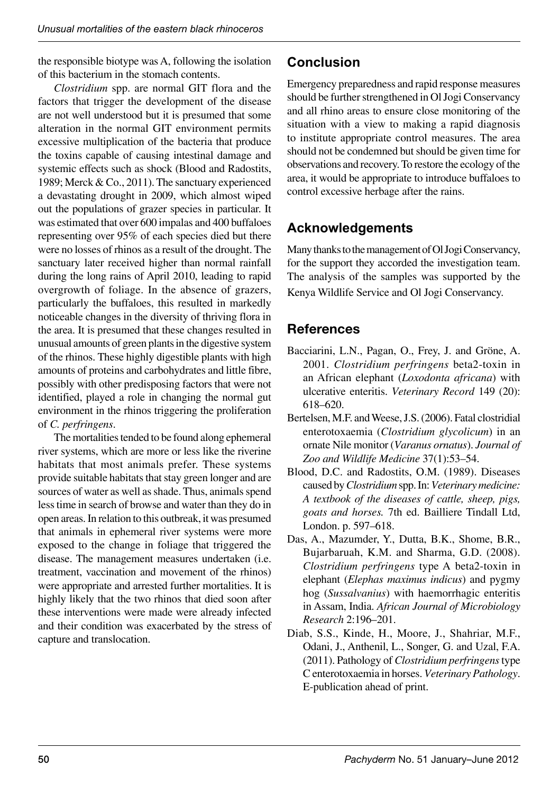the responsible biotype was A, following the isolation of this bacterium in the stomach contents.

*Clostridium* spp. are normal GIT flora and the factors that trigger the development of the disease are not well understood but it is presumed that some alteration in the normal GIT environment permits excessive multiplication of the bacteria that produce the toxins capable of causing intestinal damage and systemic effects such as shock (Blood and Radostits, 1989; Merck & Co., 2011). The sanctuary experienced a devastating drought in 2009, which almost wiped out the populations of grazer species in particular. It was estimated that over 600 impalas and 400 buffaloes representing over 95% of each species died but there were no losses of rhinos as a result of the drought. The sanctuary later received higher than normal rainfall during the long rains of April 2010, leading to rapid overgrowth of foliage. In the absence of grazers, particularly the buffaloes, this resulted in markedly noticeable changes in the diversity of thriving flora in the area. It is presumed that these changes resulted in unusual amounts of green plants in the digestive system of the rhinos. These highly digestible plants with high amounts of proteins and carbohydrates and little fibre, possibly with other predisposing factors that were not identified, played a role in changing the normal gut environment in the rhinos triggering the proliferation of *C. perfringens*.

The mortalities tended to be found along ephemeral river systems, which are more or less like the riverine habitats that most animals prefer. These systems provide suitable habitats that stay green longer and are sources of water as well as shade. Thus, animals spend less time in search of browse and water than they do in open areas. In relation to this outbreak, it was presumed that animals in ephemeral river systems were more exposed to the change in foliage that triggered the disease. The management measures undertaken (i.e. treatment, vaccination and movement of the rhinos) were appropriate and arrested further mortalities. It is highly likely that the two rhinos that died soon after these interventions were made were already infected and their condition was exacerbated by the stress of capture and translocation.

#### **Conclusion**

Emergency preparedness and rapid response measures should be further strengthened in Ol Jogi Conservancy and all rhino areas to ensure close monitoring of the situation with a view to making a rapid diagnosis to institute appropriate control measures. The area should not be condemned but should be given time for observations and recovery. To restore the ecology of the area, it would be appropriate to introduce buffaloes to control excessive herbage after the rains.

### **Acknowledgements**

Many thanks to the management of Ol Jogi Conservancy, for the support they accorded the investigation team. The analysis of the samples was supported by the Kenya Wildlife Service and Ol Jogi Conservancy.

### **References**

- Bacciarini, L.N., Pagan, O., Frey, J. and Gröne, A. 2001. *Clostridium perfringens* beta2-toxin in an African elephant (*Loxodonta africana*) with ulcerative enteritis. *Veterinary Record* 149 (20):  $618 - 620.$
- Bertelsen, M.F. and Weese, J.S. (2006). Fatal clostridial enterotoxaemia (*Clostridium glycolicum*) in an ornate Nile monitor (*Varanus ornatus*). *Journal of*  Zoo and Wildlife Medicine 37(1):53-54.
- Blood, D.C. and Radostits, O.M. (1989). Diseases caused by *Clostridium* spp. In: *Veterinary medicine: A textbook of the diseases of cattle, sheep, pigs, goats and horses.* 7th ed. Bailliere Tindall Ltd, London. p. 597-618.
- Das, A., Mazumder, Y., Dutta, B.K., Shome, B.R., Bujarbaruah, K.M. and Sharma, G.D. (2008). *Clostridium perfringens* type A beta2-toxin in elephant (*Elephas maximus indicus*) and pygmy hog (*Sussalvanius*) with haemorrhagic enteritis in Assam, India. *African Journal of Microbiology Research* ă
- Diab, S.S., Kinde, H., Moore, J., Shahriar, M.F., Odani, J., Anthenil, L., Songer, G. and Uzal, F.A. (2011). Pathology of *Clostridium perfringens* type C enterotoxaemia in horses. *Veterinary Pathology*. E-publication ahead of print.